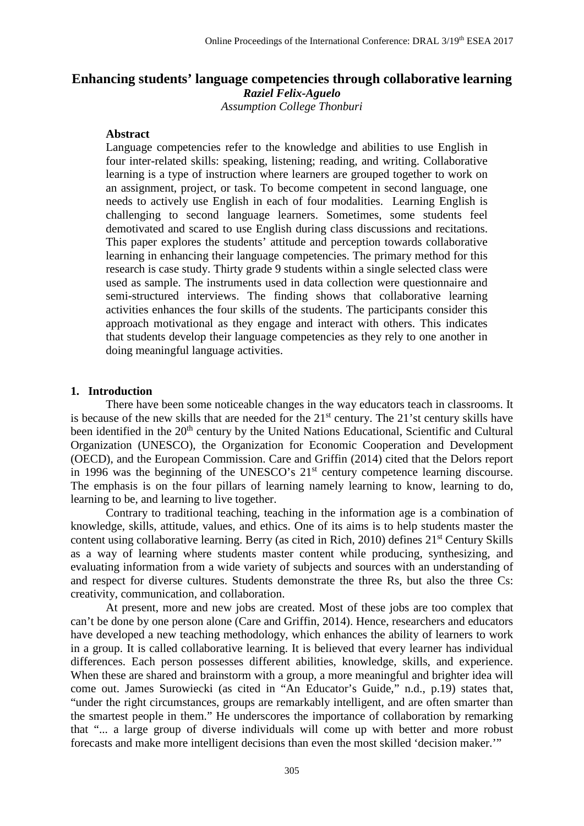# **Enhancing students' language competencies through collaborative learning** *Raziel Felix-Aguelo*

*Assumption College Thonburi*

# **Abstract**

Language competencies refer to the knowledge and abilities to use English in four inter-related skills: speaking, listening; reading, and writing. Collaborative learning is a type of instruction where learners are grouped together to work on an assignment, project, or task. To become competent in second language, one needs to actively use English in each of four modalities. Learning English is challenging to second language learners. Sometimes, some students feel demotivated and scared to use English during class discussions and recitations. This paper explores the students' attitude and perception towards collaborative learning in enhancing their language competencies. The primary method for this research is case study. Thirty grade 9 students within a single selected class were used as sample. The instruments used in data collection were questionnaire and semi-structured interviews. The finding shows that collaborative learning activities enhances the four skills of the students. The participants consider this approach motivational as they engage and interact with others. This indicates that students develop their language competencies as they rely to one another in doing meaningful language activities.

#### **1. Introduction**

There have been some noticeable changes in the way educators teach in classrooms. It is because of the new skills that are needed for the  $21<sup>st</sup>$  century. The  $21$ 'st century skills have been identified in the 20<sup>th</sup> century by the United Nations Educational, Scientific and Cultural Organization (UNESCO), the Organization for Economic Cooperation and Development (OECD), and the European Commission. Care and Griffin (2014) cited that the Delors report in 1996 was the beginning of the UNESCO's 21<sup>st</sup> century competence learning discourse. The emphasis is on the four pillars of learning namely learning to know, learning to do, learning to be, and learning to live together.

Contrary to traditional teaching, teaching in the information age is a combination of knowledge, skills, attitude, values, and ethics. One of its aims is to help students master the content using collaborative learning. Berry (as cited in Rich, 2010) defines 21<sup>st</sup> Century Skills as a way of learning where students master content while producing, synthesizing, and evaluating information from a wide variety of subjects and sources with an understanding of and respect for diverse cultures. Students demonstrate the three Rs, but also the three Cs: creativity, communication, and collaboration.

At present, more and new jobs are created. Most of these jobs are too complex that can't be done by one person alone (Care and Griffin, 2014). Hence, researchers and educators have developed a new teaching methodology, which enhances the ability of learners to work in a group. It is called collaborative learning. It is believed that every learner has individual differences. Each person possesses different abilities, knowledge, skills, and experience. When these are shared and brainstorm with a group, a more meaningful and brighter idea will come out. James Surowiecki (as cited in "An Educator's Guide," n.d., p.19) states that, "under the right circumstances, groups are remarkably intelligent, and are often smarter than the smartest people in them." He underscores the importance of collaboration by remarking that "... a large group of diverse individuals will come up with better and more robust forecasts and make more intelligent decisions than even the most skilled 'decision maker.'"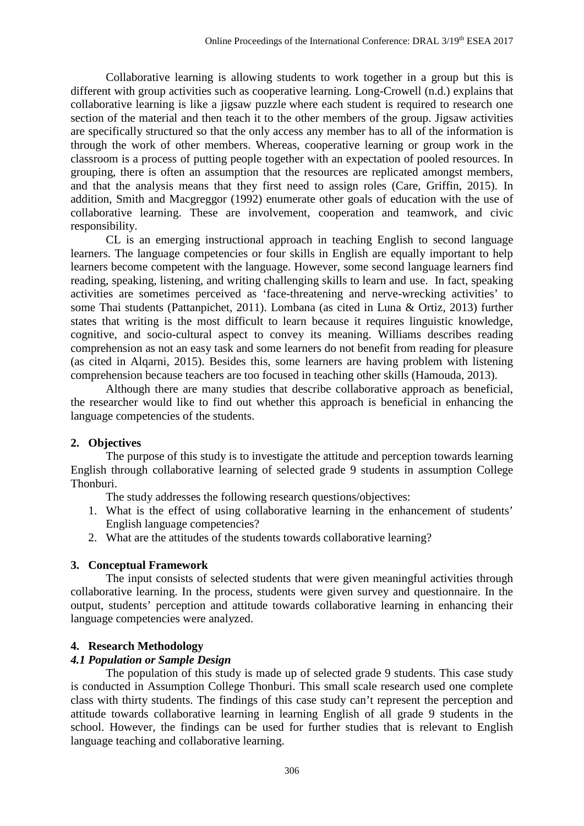Collaborative learning is allowing students to work together in a group but this is different with group activities such as cooperative learning. Long-Crowell (n.d.) explains that collaborative learning is like a jigsaw puzzle where each student is required to research one section of the material and then teach it to the other members of the group. Jigsaw activities are specifically structured so that the only access any member has to all of the information is through the work of other members. Whereas, cooperative learning or group work in the classroom is a process of putting people together with an expectation of pooled resources. In grouping, there is often an assumption that the resources are replicated amongst members, and that the analysis means that they first need to assign roles (Care, Griffin, 2015). In addition, Smith and Macgreggor (1992) enumerate other goals of education with the use of collaborative learning. These are involvement, cooperation and teamwork, and civic responsibility.

CL is an emerging instructional approach in teaching English to second language learners. The language competencies or four skills in English are equally important to help learners become competent with the language. However, some second language learners find reading, speaking, listening, and writing challenging skills to learn and use. In fact, speaking activities are sometimes perceived as 'face-threatening and nerve-wrecking activities' to some Thai students (Pattanpichet, 2011). Lombana (as cited in Luna & Ortiz, 2013) further states that writing is the most difficult to learn because it requires linguistic knowledge, cognitive, and socio-cultural aspect to convey its meaning. Williams describes reading comprehension as not an easy task and some learners do not benefit from reading for pleasure (as cited in Alqarni, 2015). Besides this, some learners are having problem with listening comprehension because teachers are too focused in teaching other skills (Hamouda, 2013).

Although there are many studies that describe collaborative approach as beneficial, the researcher would like to find out whether this approach is beneficial in enhancing the language competencies of the students.

## **2. Objectives**

The purpose of this study is to investigate the attitude and perception towards learning English through collaborative learning of selected grade 9 students in assumption College Thonburi.

The study addresses the following research questions/objectives:

- 1. What is the effect of using collaborative learning in the enhancement of students' English language competencies?
- 2. What are the attitudes of the students towards collaborative learning?

## **3. Conceptual Framework**

The input consists of selected students that were given meaningful activities through collaborative learning. In the process, students were given survey and questionnaire. In the output, students' perception and attitude towards collaborative learning in enhancing their language competencies were analyzed.

## **4. Research Methodology**

#### *4.1 Population or Sample Design*

The population of this study is made up of selected grade 9 students. This case study is conducted in Assumption College Thonburi. This small scale research used one complete class with thirty students. The findings of this case study can't represent the perception and attitude towards collaborative learning in learning English of all grade 9 students in the school. However, the findings can be used for further studies that is relevant to English language teaching and collaborative learning.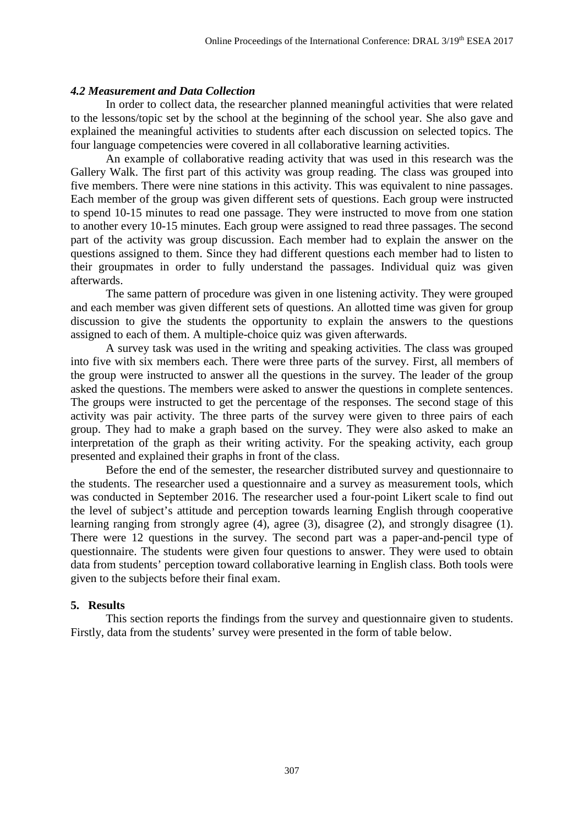#### *4.2 Measurement and Data Collection*

In order to collect data, the researcher planned meaningful activities that were related to the lessons/topic set by the school at the beginning of the school year. She also gave and explained the meaningful activities to students after each discussion on selected topics. The four language competencies were covered in all collaborative learning activities.

An example of collaborative reading activity that was used in this research was the Gallery Walk. The first part of this activity was group reading. The class was grouped into five members. There were nine stations in this activity. This was equivalent to nine passages. Each member of the group was given different sets of questions. Each group were instructed to spend 10-15 minutes to read one passage. They were instructed to move from one station to another every 10-15 minutes. Each group were assigned to read three passages. The second part of the activity was group discussion. Each member had to explain the answer on the questions assigned to them. Since they had different questions each member had to listen to their groupmates in order to fully understand the passages. Individual quiz was given afterwards.

The same pattern of procedure was given in one listening activity. They were grouped and each member was given different sets of questions. An allotted time was given for group discussion to give the students the opportunity to explain the answers to the questions assigned to each of them. A multiple-choice quiz was given afterwards.

A survey task was used in the writing and speaking activities. The class was grouped into five with six members each. There were three parts of the survey. First, all members of the group were instructed to answer all the questions in the survey. The leader of the group asked the questions. The members were asked to answer the questions in complete sentences. The groups were instructed to get the percentage of the responses. The second stage of this activity was pair activity. The three parts of the survey were given to three pairs of each group. They had to make a graph based on the survey. They were also asked to make an interpretation of the graph as their writing activity. For the speaking activity, each group presented and explained their graphs in front of the class.

Before the end of the semester, the researcher distributed survey and questionnaire to the students. The researcher used a questionnaire and a survey as measurement tools, which was conducted in September 2016. The researcher used a four-point Likert scale to find out the level of subject's attitude and perception towards learning English through cooperative learning ranging from strongly agree (4), agree (3), disagree (2), and strongly disagree (1). There were 12 questions in the survey. The second part was a paper-and-pencil type of questionnaire. The students were given four questions to answer. They were used to obtain data from students' perception toward collaborative learning in English class. Both tools were given to the subjects before their final exam.

#### **5. Results**

This section reports the findings from the survey and questionnaire given to students. Firstly, data from the students' survey were presented in the form of table below.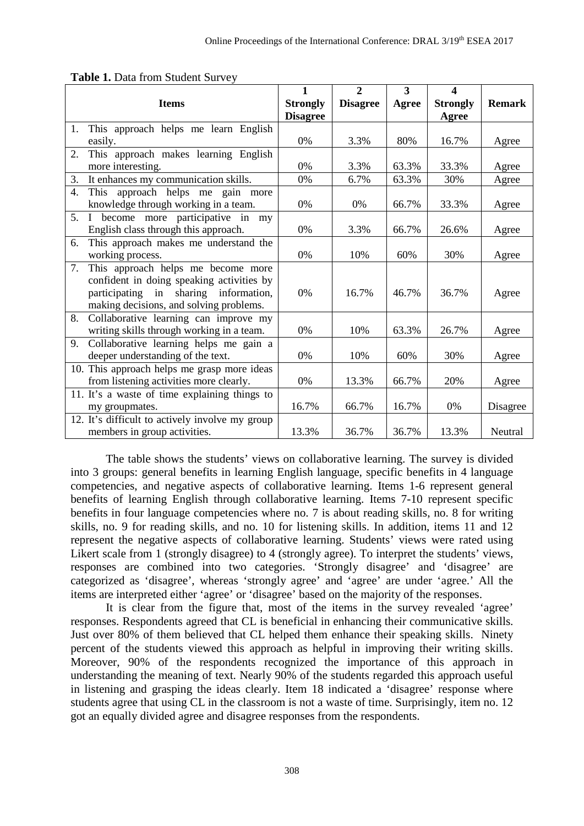|                  |                                                 | 1               | $\overline{2}$  | 3     | $\boldsymbol{4}$ |               |
|------------------|-------------------------------------------------|-----------------|-----------------|-------|------------------|---------------|
|                  | <b>Items</b>                                    | <b>Strongly</b> | <b>Disagree</b> | Agree | <b>Strongly</b>  | <b>Remark</b> |
|                  |                                                 | <b>Disagree</b> |                 |       | Agree            |               |
| 1.               | This approach helps me learn English            |                 |                 |       |                  |               |
|                  | easily.                                         | 0%              | 3.3%            | 80%   | 16.7%            | Agree         |
| $\overline{2}$ . | This approach makes learning English            |                 |                 |       |                  |               |
|                  | more interesting.                               | 0%              | 3.3%            | 63.3% | 33.3%            | Agree         |
| 3.               | It enhances my communication skills.            | 0%              | 6.7%            | 63.3% | 30%              | Agree         |
| $\overline{4}$ . | This approach helps me gain more                |                 |                 |       |                  |               |
|                  | knowledge through working in a team.            | 0%              | 0%              | 66.7% | 33.3%            | Agree         |
| 5.               | become more participative in my<br>$\bf{I}$     |                 |                 |       |                  |               |
|                  | English class through this approach.            | 0%              | 3.3%            | 66.7% | 26.6%            | Agree         |
| 6.               | This approach makes me understand the           |                 |                 |       |                  |               |
|                  | working process.                                | 0%              | 10%             | 60%   | 30%              | Agree         |
| 7.               | This approach helps me become more              |                 |                 |       |                  |               |
|                  | confident in doing speaking activities by       |                 |                 |       |                  |               |
|                  | participating in sharing information,           | 0%              | 16.7%           | 46.7% | 36.7%            | Agree         |
|                  | making decisions, and solving problems.         |                 |                 |       |                  |               |
| 8.               | Collaborative learning can improve my           |                 |                 |       |                  |               |
|                  | writing skills through working in a team.       | 0%              | 10%             | 63.3% | 26.7%            | Agree         |
| 9.               | Collaborative learning helps me gain a          |                 |                 |       |                  |               |
|                  | deeper understanding of the text.               | 0%              | 10%             | 60%   | 30%              | Agree         |
|                  | 10. This approach helps me grasp more ideas     |                 |                 |       |                  |               |
|                  | from listening activities more clearly.         | 0%              | 13.3%           | 66.7% | 20%              | Agree         |
|                  | 11. It's a waste of time explaining things to   |                 |                 |       |                  |               |
|                  | my groupmates.                                  | 16.7%           | 66.7%           | 16.7% | 0%               | Disagree      |
|                  | 12. It's difficult to actively involve my group |                 |                 |       |                  |               |
|                  | members in group activities.                    | 13.3%           | 36.7%           | 36.7% | 13.3%            | Neutral       |

**Table 1.** Data from Student Survey

The table shows the students' views on collaborative learning. The survey is divided into 3 groups: general benefits in learning English language, specific benefits in 4 language competencies, and negative aspects of collaborative learning. Items 1-6 represent general benefits of learning English through collaborative learning. Items 7-10 represent specific benefits in four language competencies where no. 7 is about reading skills, no. 8 for writing skills, no. 9 for reading skills, and no. 10 for listening skills. In addition, items 11 and 12 represent the negative aspects of collaborative learning. Students' views were rated using Likert scale from 1 (strongly disagree) to 4 (strongly agree). To interpret the students' views, responses are combined into two categories. 'Strongly disagree' and 'disagree' are categorized as 'disagree', whereas 'strongly agree' and 'agree' are under 'agree.' All the items are interpreted either 'agree' or 'disagree' based on the majority of the responses.

It is clear from the figure that, most of the items in the survey revealed 'agree' responses. Respondents agreed that CL is beneficial in enhancing their communicative skills. Just over 80% of them believed that CL helped them enhance their speaking skills. Ninety percent of the students viewed this approach as helpful in improving their writing skills. Moreover, 90% of the respondents recognized the importance of this approach in understanding the meaning of text. Nearly 90% of the students regarded this approach useful in listening and grasping the ideas clearly. Item 18 indicated a 'disagree' response where students agree that using CL in the classroom is not a waste of time. Surprisingly, item no. 12 got an equally divided agree and disagree responses from the respondents.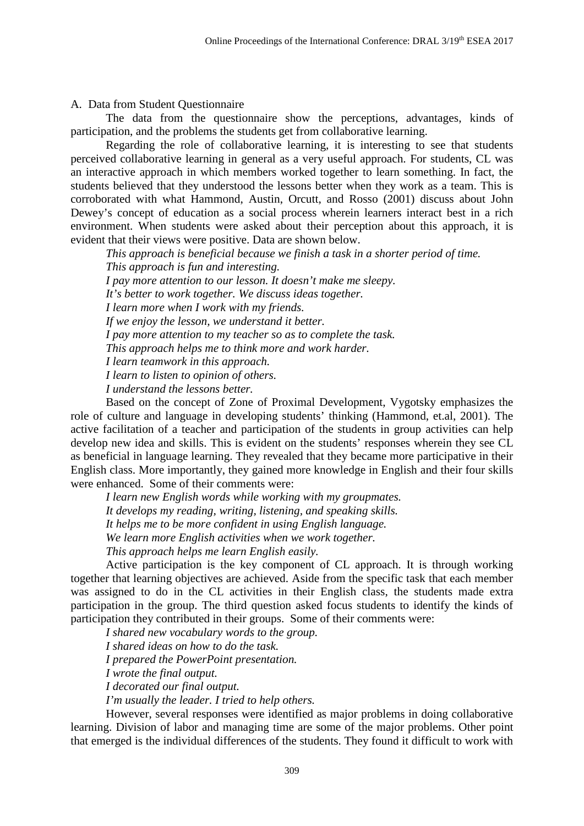A. Data from Student Questionnaire

The data from the questionnaire show the perceptions, advantages, kinds of participation, and the problems the students get from collaborative learning.

Regarding the role of collaborative learning, it is interesting to see that students perceived collaborative learning in general as a very useful approach. For students, CL was an interactive approach in which members worked together to learn something. In fact, the students believed that they understood the lessons better when they work as a team. This is corroborated with what Hammond, Austin, Orcutt, and Rosso (2001) discuss about John Dewey's concept of education as a social process wherein learners interact best in a rich environment. When students were asked about their perception about this approach, it is evident that their views were positive. Data are shown below.

*This approach is beneficial because we finish a task in a shorter period of time. This approach is fun and interesting. I pay more attention to our lesson. It doesn't make me sleepy. It's better to work together. We discuss ideas together. I learn more when I work with my friends. If we enjoy the lesson, we understand it better. I pay more attention to my teacher so as to complete the task. This approach helps me to think more and work harder. I learn teamwork in this approach. I learn to listen to opinion of others. I understand the lessons better.*

Based on the concept of Zone of Proximal Development, Vygotsky emphasizes the role of culture and language in developing students' thinking (Hammond, et.al, 2001). The active facilitation of a teacher and participation of the students in group activities can help develop new idea and skills. This is evident on the students' responses wherein they see CL as beneficial in language learning. They revealed that they became more participative in their English class. More importantly, they gained more knowledge in English and their four skills were enhanced. Some of their comments were:

*I learn new English words while working with my groupmates. It develops my reading, writing, listening, and speaking skills. It helps me to be more confident in using English language. We learn more English activities when we work together.*

*This approach helps me learn English easily.*

Active participation is the key component of CL approach. It is through working together that learning objectives are achieved. Aside from the specific task that each member was assigned to do in the CL activities in their English class, the students made extra participation in the group. The third question asked focus students to identify the kinds of participation they contributed in their groups. Some of their comments were:

*I shared new vocabulary words to the group.*

*I shared ideas on how to do the task.*

*I prepared the PowerPoint presentation.*

*I wrote the final output.*

*I decorated our final output.*

*I'm usually the leader. I tried to help others.*

However, several responses were identified as major problems in doing collaborative learning. Division of labor and managing time are some of the major problems. Other point that emerged is the individual differences of the students. They found it difficult to work with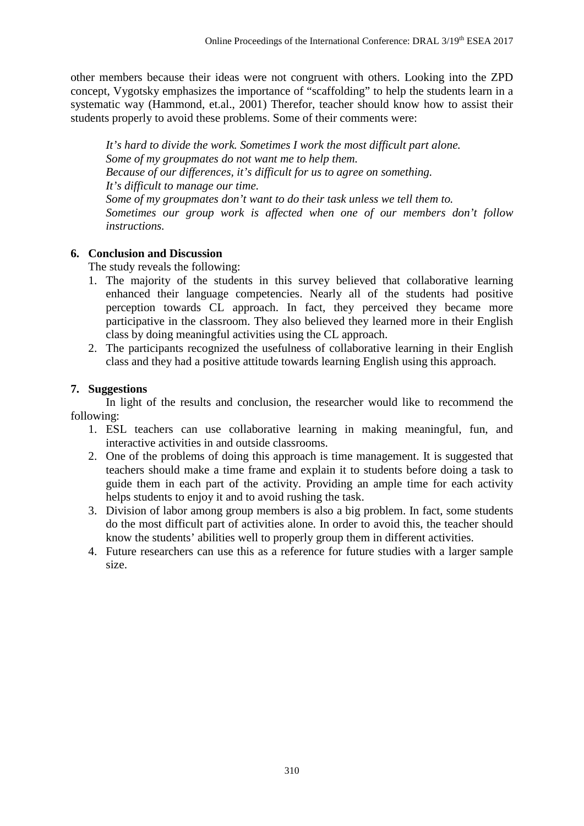other members because their ideas were not congruent with others. Looking into the ZPD concept, Vygotsky emphasizes the importance of "scaffolding" to help the students learn in a systematic way (Hammond, et.al., 2001) Therefor, teacher should know how to assist their students properly to avoid these problems. Some of their comments were:

*It's hard to divide the work. Sometimes I work the most difficult part alone. Some of my groupmates do not want me to help them. Because of our differences, it's difficult for us to agree on something. It's difficult to manage our time. Some of my groupmates don't want to do their task unless we tell them to. Sometimes our group work is affected when one of our members don't follow instructions.*

# **6. Conclusion and Discussion**

The study reveals the following:

- 1. The majority of the students in this survey believed that collaborative learning enhanced their language competencies. Nearly all of the students had positive perception towards CL approach. In fact, they perceived they became more participative in the classroom. They also believed they learned more in their English class by doing meaningful activities using the CL approach.
- 2. The participants recognized the usefulness of collaborative learning in their English class and they had a positive attitude towards learning English using this approach.

# **7. Suggestions**

In light of the results and conclusion, the researcher would like to recommend the following:

- 1. ESL teachers can use collaborative learning in making meaningful, fun, and interactive activities in and outside classrooms.
- 2. One of the problems of doing this approach is time management. It is suggested that teachers should make a time frame and explain it to students before doing a task to guide them in each part of the activity. Providing an ample time for each activity helps students to enjoy it and to avoid rushing the task.
- 3. Division of labor among group members is also a big problem. In fact, some students do the most difficult part of activities alone. In order to avoid this, the teacher should know the students' abilities well to properly group them in different activities.
- 4. Future researchers can use this as a reference for future studies with a larger sample size.